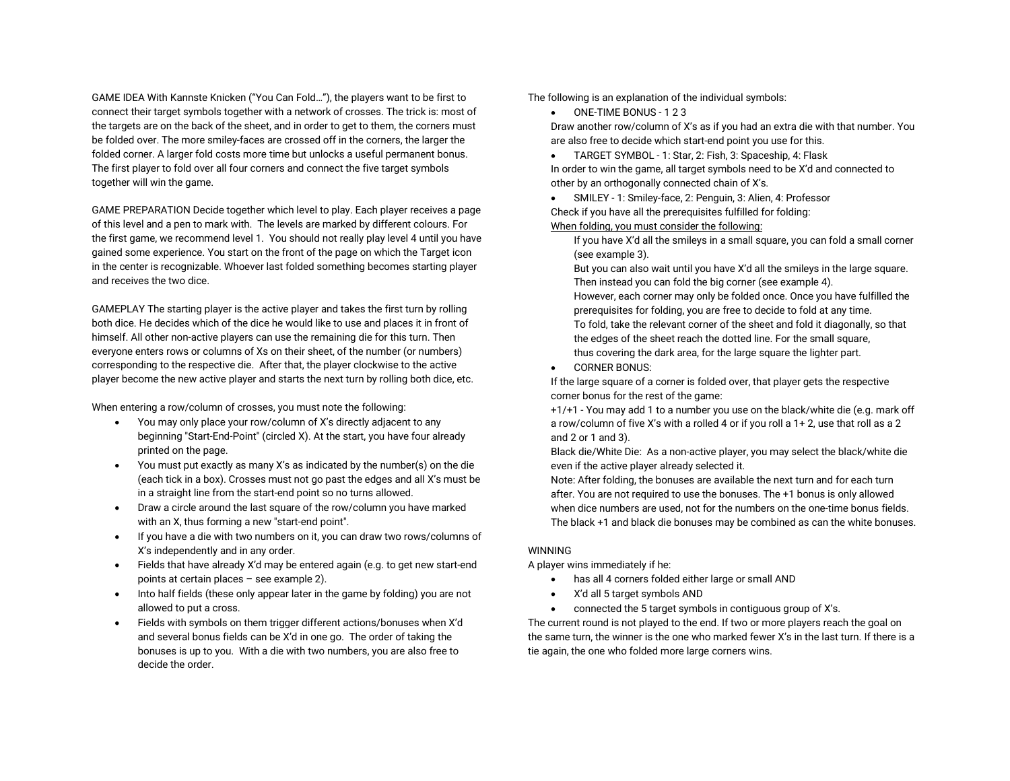GAME IDEA With Kannste Knicken ("You Can Fold…"), the players want to be first to connect their target symbols together with a network of crosses. The trick is: most of the targets are on the back of the sheet, and in order to get to them, the corners must be folded over. The more smiley-faces are crossed off in the corners, the larger the folded corner. A larger fold costs more time but unlocks a useful permanent bonus. The first player to fold over all four corners and connect the five target symbols together will win the game.

GAME PREPARATION Decide together which level to play. Each player receives a page of this level and a pen to mark with. The levels are marked by different colours. For the first game, we recommend level 1. You should not really play level 4 until you have gained some experience. You start on the front of the page on which the Target icon in the center is recognizable. Whoever last folded something becomes starting player and receives the two dice.

GAMEPLAY The starting player is the active player and takes the first turn by rolling both dice. He decides which of the dice he would like to use and places it in front of himself. All other non-active players can use the remaining die for this turn. Then everyone enters rows or columns of Xs on their sheet, of the number (or numbers) corresponding to the respective die. After that, the player clockwise to the active player become the new active player and starts the next turn by rolling both dice, etc.

When entering a row/column of crosses, you must note the following:

- You may only place your row/column of X's directly adjacent to any beginning "Start-End-Point" (circled X). At the start, you have four already printed on the page.
- You must put exactly as many X's as indicated by the number(s) on the die (each tick in a box). Crosses must not go past the edges and all X's must be in a straight line from the start-end point so no turns allowed.
- $\bullet$  Draw a circle around the last square of the row/column you have marked with an X, thus forming a new "start-end point".
- If you have a die with two numbers on it, you can draw two rows/columns of X's independently and in any order.
- Fields that have already X'd may be entered again (e.g. to get new start-end points at certain places – see example 2).
- $\bullet$  Into half fields (these only appear later in the game by folding) you are not allowed to put a cross.
- $\bullet$  Fields with symbols on them trigger different actions/bonuses when X'd and several bonus fields can be X'd in one go. The order of taking the bonuses is up to you. With a die with two numbers, you are also free to decide the order.

The following is an explanation of the individual symbols:

 $\bullet$ ONE-TIME BONUS - 1 2 3

Draw another row/column of X's as if you had an extra die with that number. You are also free to decide which start-end point you use for this.

 $\bullet$ TARGET SYMBOL - 1: Star, 2: Fish, 3: Spaceship, 4: Flask

In order to win the game, all target symbols need to be X'd and connected to other by an orthogonally connected chain of X's.

 $\bullet$  SMILEY - 1: Smiley-face, 2: Penguin, 3: Alien, 4: Professor Check if you have all the prerequisites fulfilled for folding: When folding, you must consider the following:

If you have X'd all the smileys in a small square, you can fold a small corner (see example 3).

But you can also wait until you have X'd all the smileys in the large square. Then instead you can fold the big corner (see example 4). However, each corner may only be folded once. Once you have fulfilled the prerequisites for folding, you are free to decide to fold at any time. To fold, take the relevant corner of the sheet and fold it diagonally, so that the edges of the sheet reach the dotted line. For the small square, thus covering the dark area, for the large square the lighter part.

0 CORNER BONUS:

If the large square of a corner is folded over, that player gets the respective corner bonus for the rest of the game:

 +1/+1 - You may add 1 to a number you use on the black/white die (e.g. mark off a row/column of five X's with a rolled 4 or if you roll a 1+ 2, use that roll as a 2 and 2 or 1 and 3).

Black die/White Die: As a non-active player, you may select the black/white die even if the active player already selected it.

Note: After folding, the bonuses are available the next turn and for each turn after. You are not required to use the bonuses. The +1 bonus is only allowed when dice numbers are used, not for the numbers on the one-time bonus fields. The black +1 and black die bonuses may be combined as can the white bonuses.

## WINNING

A player wins immediately if he:

- has all 4 corners folded either large or small AND
- e X'd all 5 target symbols AND
- ۰ connected the 5 target symbols in contiguous group of X's.

The current round is not played to the end. If two or more players reach the goal on the same turn, the winner is the one who marked fewer X's in the last turn. If there is a tie again, the one who folded more large corners wins.